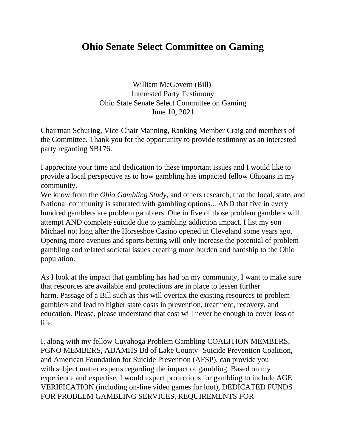## **Ohio Senate Select Committee on Gaming**

William McGovern (Bill) Interested Party Testimony Ohio State Senate Select Committee on Gaming June 10, 2021

Chairman Schuring, Vice-Chair Manning, Ranking Member Craig and members of the Committee. Thank you for the opportunity to provide testimony as an interested party regarding SB176.

I appreciate your time and dedication to these important issues and I would like to provide a local perspective as to how gambling has impacted fellow Ohioans in my community.

We know from the *Ohio Gambling Study*, and others research, that the local, state, and National community is saturated with gambling options... AND that five in every hundred gamblers are problem gamblers. One in five of those problem gamblers will attempt AND complete suicide due to gambling addiction impact. I list my son Michael not long after the Horseshoe Casino opened in Cleveland some years ago. Opening more avenues and sports betting will only increase the potential of problem gambling and related societal issues creating more burden and hardship to the Ohio population.

As I look at the impact that gambling has had on my community, I want to make sure that resources are available and protections are in place to lessen further harm. Passage of a Bill such as this will overtax the existing resources to problem gamblers and lead to higher state costs in prevention, treatment, recovery, and education. Please, please understand that cost will never be enough to cover loss of life.

I, along with my fellow Cuyahoga Problem Gambling COALITION MEMBERS, PGNO MEMBERS, ADAMHS Bd of Lake County -Suicide Prevention Coalition, and American Foundation for Suicide Prevention (AFSP), can provide you with subject matter experts regarding the impact of gambling. Based on my experience and expertise, I would expect protections for gambling to include AGE VERIFICATION (including on-line video games for loot), DEDICATED FUNDS FOR PROBLEM GAMBLING SERVICES, REQUIREMENTS FOR